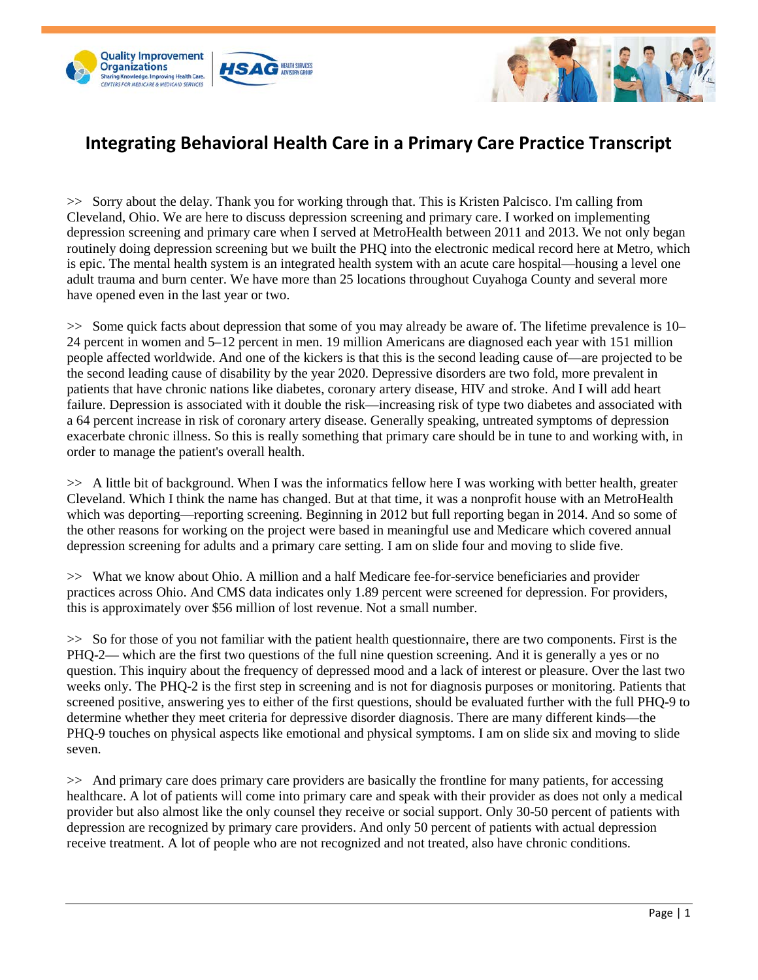



## **Integrating Behavioral Health Care in a Primary Care Practice Transcript**

>> Sorry about the delay. Thank you for working through that. This is Kristen Palcisco. I'm calling from Cleveland, Ohio. We are here to discuss depression screening and primary care. I worked on implementing depression screening and primary care when I served at MetroHealth between 2011 and 2013. We not only began routinely doing depression screening but we built the PHQ into the electronic medical record here at Metro, which is epic. The mental health system is an integrated health system with an acute care hospital—housing a level one adult trauma and burn center. We have more than 25 locations throughout Cuyahoga County and several more have opened even in the last year or two.

>> Some quick facts about depression that some of you may already be aware of. The lifetime prevalence is 10– 24 percent in women and 5–12 percent in men. 19 million Americans are diagnosed each year with 151 million people affected worldwide. And one of the kickers is that this is the second leading cause of—are projected to be the second leading cause of disability by the year 2020. Depressive disorders are two fold, more prevalent in patients that have chronic nations like diabetes, coronary artery disease, HIV and stroke. And I will add heart failure. Depression is associated with it double the risk—increasing risk of type two diabetes and associated with a 64 percent increase in risk of coronary artery disease. Generally speaking, untreated symptoms of depression exacerbate chronic illness. So this is really something that primary care should be in tune to and working with, in order to manage the patient's overall health.

>> A little bit of background. When I was the informatics fellow here I was working with better health, greater Cleveland. Which I think the name has changed. But at that time, it was a nonprofit house with an MetroHealth which was deporting—reporting screening. Beginning in 2012 but full reporting began in 2014. And so some of the other reasons for working on the project were based in meaningful use and Medicare which covered annual depression screening for adults and a primary care setting. I am on slide four and moving to slide five.

>> What we know about Ohio. A million and a half Medicare fee-for-service beneficiaries and provider practices across Ohio. And CMS data indicates only 1.89 percent were screened for depression. For providers, this is approximately over \$56 million of lost revenue. Not a small number.

>> So for those of you not familiar with the patient health questionnaire, there are two components. First is the PHQ-2— which are the first two questions of the full nine question screening. And it is generally a yes or no question. This inquiry about the frequency of depressed mood and a lack of interest or pleasure. Over the last two weeks only. The PHQ-2 is the first step in screening and is not for diagnosis purposes or monitoring. Patients that screened positive, answering yes to either of the first questions, should be evaluated further with the full PHQ-9 to determine whether they meet criteria for depressive disorder diagnosis. There are many different kinds—the PHQ-9 touches on physical aspects like emotional and physical symptoms. I am on slide six and moving to slide seven.

>> And primary care does primary care providers are basically the frontline for many patients, for accessing healthcare. A lot of patients will come into primary care and speak with their provider as does not only a medical provider but also almost like the only counsel they receive or social support. Only 30-50 percent of patients with depression are recognized by primary care providers. And only 50 percent of patients with actual depression receive treatment. A lot of people who are not recognized and not treated, also have chronic conditions.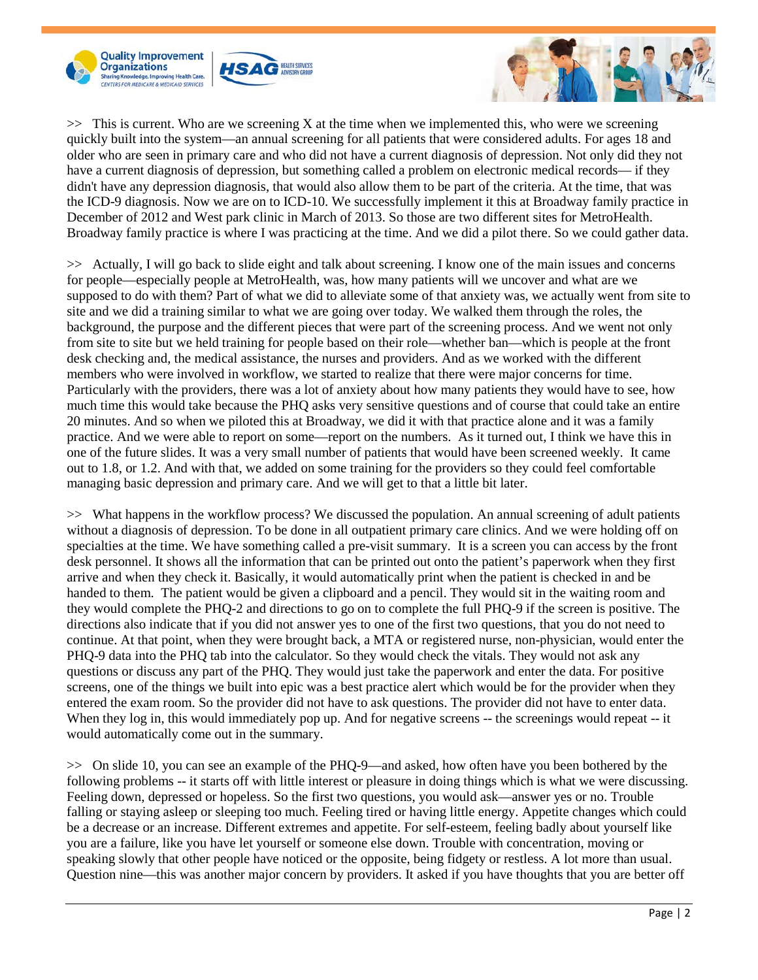





 $\gg$  This is current. Who are we screening X at the time when we implemented this, who were we screening quickly built into the system—an annual screening for all patients that were considered adults. For ages 18 and older who are seen in primary care and who did not have a current diagnosis of depression. Not only did they not have a current diagnosis of depression, but something called a problem on electronic medical records— if they didn't have any depression diagnosis, that would also allow them to be part of the criteria. At the time, that was the ICD-9 diagnosis. Now we are on to ICD-10. We successfully implement it this at Broadway family practice in December of 2012 and West park clinic in March of 2013. So those are two different sites for MetroHealth. Broadway family practice is where I was practicing at the time. And we did a pilot there. So we could gather data.

>> Actually, I will go back to slide eight and talk about screening. I know one of the main issues and concerns for people—especially people at MetroHealth, was, how many patients will we uncover and what are we supposed to do with them? Part of what we did to alleviate some of that anxiety was, we actually went from site to site and we did a training similar to what we are going over today. We walked them through the roles, the background, the purpose and the different pieces that were part of the screening process. And we went not only from site to site but we held training for people based on their role—whether ban—which is people at the front desk checking and, the medical assistance, the nurses and providers. And as we worked with the different members who were involved in workflow, we started to realize that there were major concerns for time. Particularly with the providers, there was a lot of anxiety about how many patients they would have to see, how much time this would take because the PHQ asks very sensitive questions and of course that could take an entire 20 minutes. And so when we piloted this at Broadway, we did it with that practice alone and it was a family practice. And we were able to report on some—report on the numbers. As it turned out, I think we have this in one of the future slides. It was a very small number of patients that would have been screened weekly. It came out to 1.8, or 1.2. And with that, we added on some training for the providers so they could feel comfortable managing basic depression and primary care. And we will get to that a little bit later.

>> What happens in the workflow process? We discussed the population. An annual screening of adult patients without a diagnosis of depression. To be done in all outpatient primary care clinics. And we were holding off on specialties at the time. We have something called a pre-visit summary. It is a screen you can access by the front desk personnel. It shows all the information that can be printed out onto the patient's paperwork when they first arrive and when they check it. Basically, it would automatically print when the patient is checked in and be handed to them. The patient would be given a clipboard and a pencil. They would sit in the waiting room and they would complete the PHQ-2 and directions to go on to complete the full PHQ-9 if the screen is positive. The directions also indicate that if you did not answer yes to one of the first two questions, that you do not need to continue. At that point, when they were brought back, a MTA or registered nurse, non-physician, would enter the PHQ-9 data into the PHQ tab into the calculator. So they would check the vitals. They would not ask any questions or discuss any part of the PHQ. They would just take the paperwork and enter the data. For positive screens, one of the things we built into epic was a best practice alert which would be for the provider when they entered the exam room. So the provider did not have to ask questions. The provider did not have to enter data. When they log in, this would immediately pop up. And for negative screens -- the screenings would repeat -- it would automatically come out in the summary.

>> On slide 10, you can see an example of the PHQ-9—and asked, how often have you been bothered by the following problems -- it starts off with little interest or pleasure in doing things which is what we were discussing. Feeling down, depressed or hopeless. So the first two questions, you would ask—answer yes or no. Trouble falling or staying asleep or sleeping too much. Feeling tired or having little energy. Appetite changes which could be a decrease or an increase. Different extremes and appetite. For self-esteem, feeling badly about yourself like you are a failure, like you have let yourself or someone else down. Trouble with concentration, moving or speaking slowly that other people have noticed or the opposite, being fidgety or restless. A lot more than usual. Question nine—this was another major concern by providers. It asked if you have thoughts that you are better off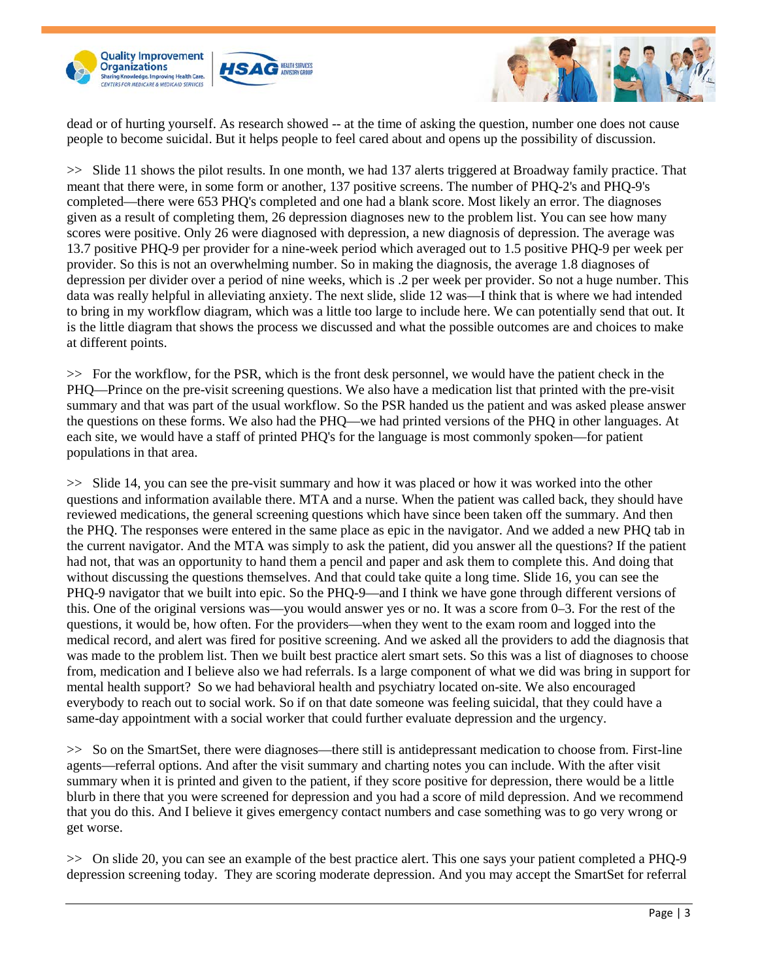



dead or of hurting yourself. As research showed -- at the time of asking the question, number one does not cause people to become suicidal. But it helps people to feel cared about and opens up the possibility of discussion.

>> Slide 11 shows the pilot results. In one month, we had 137 alerts triggered at Broadway family practice. That meant that there were, in some form or another, 137 positive screens. The number of PHQ-2's and PHQ-9's completed—there were 653 PHQ's completed and one had a blank score. Most likely an error. The diagnoses given as a result of completing them, 26 depression diagnoses new to the problem list. You can see how many scores were positive. Only 26 were diagnosed with depression, a new diagnosis of depression. The average was 13.7 positive PHQ-9 per provider for a nine-week period which averaged out to 1.5 positive PHQ-9 per week per provider. So this is not an overwhelming number. So in making the diagnosis, the average 1.8 diagnoses of depression per divider over a period of nine weeks, which is .2 per week per provider. So not a huge number. This data was really helpful in alleviating anxiety. The next slide, slide 12 was—I think that is where we had intended to bring in my workflow diagram, which was a little too large to include here. We can potentially send that out. It is the little diagram that shows the process we discussed and what the possible outcomes are and choices to make at different points.

>> For the workflow, for the PSR, which is the front desk personnel, we would have the patient check in the PHQ—Prince on the pre-visit screening questions. We also have a medication list that printed with the pre-visit summary and that was part of the usual workflow. So the PSR handed us the patient and was asked please answer the questions on these forms. We also had the PHQ—we had printed versions of the PHQ in other languages. At each site, we would have a staff of printed PHQ's for the language is most commonly spoken—for patient populations in that area.

>> Slide 14, you can see the pre-visit summary and how it was placed or how it was worked into the other questions and information available there. MTA and a nurse. When the patient was called back, they should have reviewed medications, the general screening questions which have since been taken off the summary. And then the PHQ. The responses were entered in the same place as epic in the navigator. And we added a new PHQ tab in the current navigator. And the MTA was simply to ask the patient, did you answer all the questions? If the patient had not, that was an opportunity to hand them a pencil and paper and ask them to complete this. And doing that without discussing the questions themselves. And that could take quite a long time. Slide 16, you can see the PHQ-9 navigator that we built into epic. So the PHQ-9—and I think we have gone through different versions of this. One of the original versions was—you would answer yes or no. It was a score from 0–3. For the rest of the questions, it would be, how often. For the providers—when they went to the exam room and logged into the medical record, and alert was fired for positive screening. And we asked all the providers to add the diagnosis that was made to the problem list. Then we built best practice alert smart sets. So this was a list of diagnoses to choose from, medication and I believe also we had referrals. Is a large component of what we did was bring in support for mental health support? So we had behavioral health and psychiatry located on-site. We also encouraged everybody to reach out to social work. So if on that date someone was feeling suicidal, that they could have a same-day appointment with a social worker that could further evaluate depression and the urgency.

>> So on the SmartSet, there were diagnoses—there still is antidepressant medication to choose from. First-line agents—referral options. And after the visit summary and charting notes you can include. With the after visit summary when it is printed and given to the patient, if they score positive for depression, there would be a little blurb in there that you were screened for depression and you had a score of mild depression. And we recommend that you do this. And I believe it gives emergency contact numbers and case something was to go very wrong or get worse.

>> On slide 20, you can see an example of the best practice alert. This one says your patient completed a PHQ-9 depression screening today. They are scoring moderate depression. And you may accept the SmartSet for referral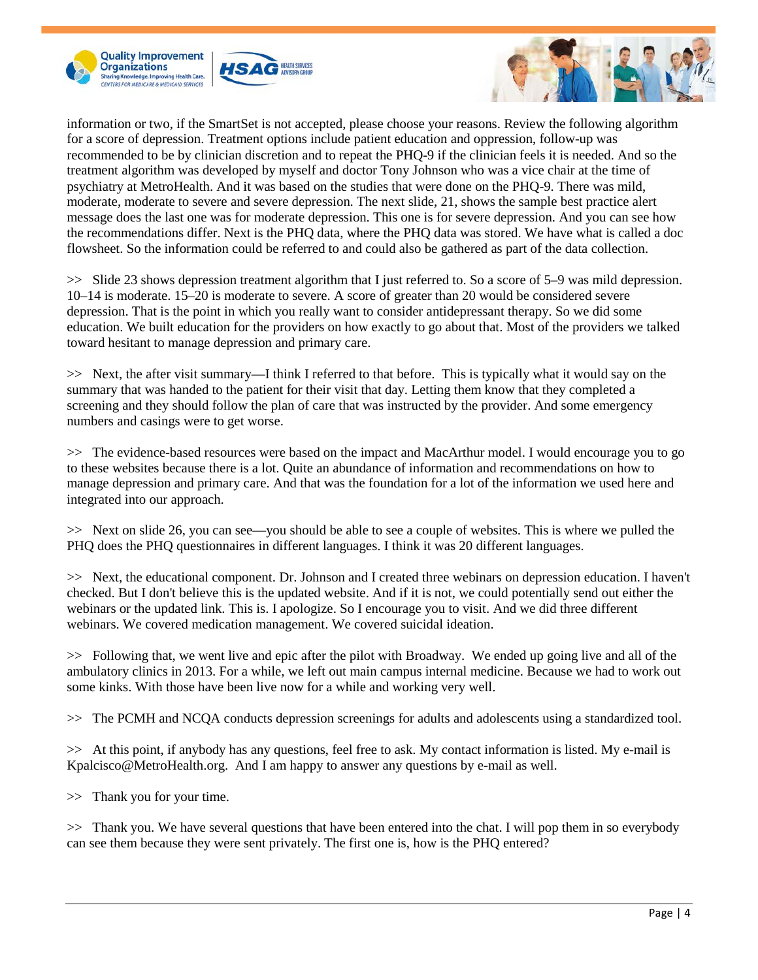





information or two, if the SmartSet is not accepted, please choose your reasons. Review the following algorithm for a score of depression. Treatment options include patient education and oppression, follow-up was recommended to be by clinician discretion and to repeat the PHQ-9 if the clinician feels it is needed. And so the treatment algorithm was developed by myself and doctor Tony Johnson who was a vice chair at the time of psychiatry at MetroHealth. And it was based on the studies that were done on the PHQ-9. There was mild, moderate, moderate to severe and severe depression. The next slide, 21, shows the sample best practice alert message does the last one was for moderate depression. This one is for severe depression. And you can see how the recommendations differ. Next is the PHQ data, where the PHQ data was stored. We have what is called a doc flowsheet. So the information could be referred to and could also be gathered as part of the data collection.

>> Slide 23 shows depression treatment algorithm that I just referred to. So a score of 5–9 was mild depression. 10–14 is moderate. 15–20 is moderate to severe. A score of greater than 20 would be considered severe depression. That is the point in which you really want to consider antidepressant therapy. So we did some education. We built education for the providers on how exactly to go about that. Most of the providers we talked toward hesitant to manage depression and primary care.

>> Next, the after visit summary—I think I referred to that before. This is typically what it would say on the summary that was handed to the patient for their visit that day. Letting them know that they completed a screening and they should follow the plan of care that was instructed by the provider. And some emergency numbers and casings were to get worse.

>> The evidence-based resources were based on the impact and MacArthur model. I would encourage you to go to these websites because there is a lot. Quite an abundance of information and recommendations on how to manage depression and primary care. And that was the foundation for a lot of the information we used here and integrated into our approach.

>> Next on slide 26, you can see—you should be able to see a couple of websites. This is where we pulled the PHQ does the PHQ questionnaires in different languages. I think it was 20 different languages.

>> Next, the educational component. Dr. Johnson and I created three webinars on depression education. I haven't checked. But I don't believe this is the updated website. And if it is not, we could potentially send out either the webinars or the updated link. This is. I apologize. So I encourage you to visit. And we did three different webinars. We covered medication management. We covered suicidal ideation.

>> Following that, we went live and epic after the pilot with Broadway. We ended up going live and all of the ambulatory clinics in 2013. For a while, we left out main campus internal medicine. Because we had to work out some kinks. With those have been live now for a while and working very well.

>> The PCMH and NCQA conducts depression screenings for adults and adolescents using a standardized tool.

>> At this point, if anybody has any questions, feel free to ask. My contact information is listed. My e-mail is Kpalcisco@MetroHealth.org. And I am happy to answer any questions by e-mail as well.

>> Thank you for your time.

>> Thank you. We have several questions that have been entered into the chat. I will pop them in so everybody can see them because they were sent privately. The first one is, how is the PHQ entered?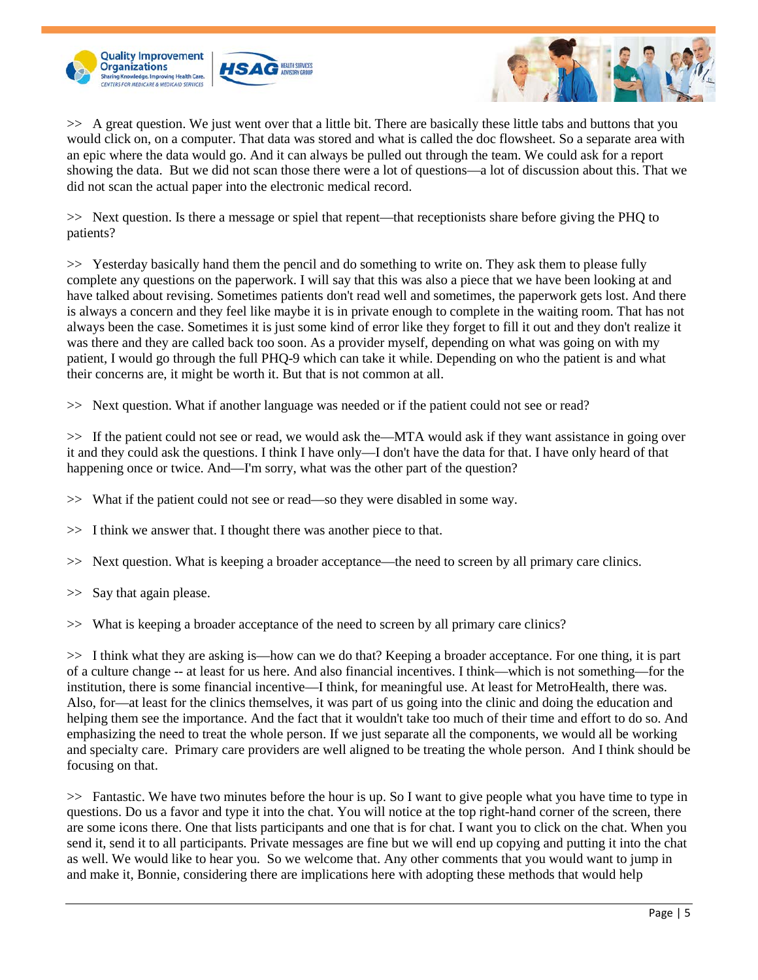



>> A great question. We just went over that a little bit. There are basically these little tabs and buttons that you would click on, on a computer. That data was stored and what is called the doc flowsheet. So a separate area with an epic where the data would go. And it can always be pulled out through the team. We could ask for a report showing the data. But we did not scan those there were a lot of questions—a lot of discussion about this. That we did not scan the actual paper into the electronic medical record.

>> Next question. Is there a message or spiel that repent—that receptionists share before giving the PHQ to patients?

>> Yesterday basically hand them the pencil and do something to write on. They ask them to please fully complete any questions on the paperwork. I will say that this was also a piece that we have been looking at and have talked about revising. Sometimes patients don't read well and sometimes, the paperwork gets lost. And there is always a concern and they feel like maybe it is in private enough to complete in the waiting room. That has not always been the case. Sometimes it is just some kind of error like they forget to fill it out and they don't realize it was there and they are called back too soon. As a provider myself, depending on what was going on with my patient, I would go through the full PHQ-9 which can take it while. Depending on who the patient is and what their concerns are, it might be worth it. But that is not common at all.

>> Next question. What if another language was needed or if the patient could not see or read?

>> If the patient could not see or read, we would ask the—MTA would ask if they want assistance in going over it and they could ask the questions. I think I have only—I don't have the data for that. I have only heard of that happening once or twice. And—I'm sorry, what was the other part of the question?

>> What if the patient could not see or read—so they were disabled in some way.

>> I think we answer that. I thought there was another piece to that.

>> Next question. What is keeping a broader acceptance—the need to screen by all primary care clinics.

>> Say that again please.

>> What is keeping a broader acceptance of the need to screen by all primary care clinics?

>> I think what they are asking is—how can we do that? Keeping a broader acceptance. For one thing, it is part of a culture change -- at least for us here. And also financial incentives. I think—which is not something—for the institution, there is some financial incentive—I think, for meaningful use. At least for MetroHealth, there was. Also, for—at least for the clinics themselves, it was part of us going into the clinic and doing the education and helping them see the importance. And the fact that it wouldn't take too much of their time and effort to do so. And emphasizing the need to treat the whole person. If we just separate all the components, we would all be working and specialty care. Primary care providers are well aligned to be treating the whole person. And I think should be focusing on that.

>> Fantastic. We have two minutes before the hour is up. So I want to give people what you have time to type in questions. Do us a favor and type it into the chat. You will notice at the top right-hand corner of the screen, there are some icons there. One that lists participants and one that is for chat. I want you to click on the chat. When you send it, send it to all participants. Private messages are fine but we will end up copying and putting it into the chat as well. We would like to hear you. So we welcome that. Any other comments that you would want to jump in and make it, Bonnie, considering there are implications here with adopting these methods that would help